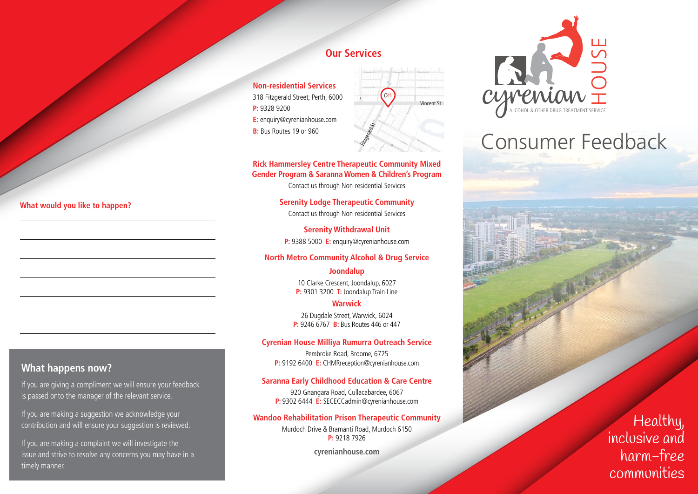#### **Our Services**

**Non-residential Services** 318 Fitzgerald Street, Perth, 6000 **P:** 9328 9200 **E:** enquiry@cyrenianhouse.com **B:** Bus Routes 19 or 960



#### **Rick Hammersley Centre Therapeutic Community Mixed Gender Program & Saranna Women & Children's Program**

Contact us through Non-residential Services

**Serenity Lodge Therapeutic Community** Contact us through Non-residential Services

**Serenity Withdrawal Unit P:** 9388 5000 **E:** enquiry@cyrenianhouse.com

#### **North Metro Community Alcohol & Drug Service**

**Joondalup** 10 Clarke Crescent, Joondalup, 6027 **P:** 9301 3200 **T:** Joondalup Train Line

**Warwick**

26 Dugdale Street, Warwick, 6024 **P:** 9246 6767 **B:** Bus Routes 446 or 447

#### **Cyrenian House Milliya Rumurra Outreach Service**

Pembroke Road, Broome, 6725 **P:** 9192 6400 **E:** CHMRreception@cyrenianhouse.com

#### **Saranna Early Childhood Education & Care Centre**

920 Gnangara Road, Cullacabardee, 6067 **P:** 9302 6444 **E:** SECECCadmin@cyrenianhouse.com

#### **Wandoo Rehabilitation Prison Therapeutic Community**

Murdoch Drive & Bramanti Road, Murdoch 6150 **P:** 9218 7926

**cyrenianhouse.com**



# Consumer Feedback

#### **What would you like to happen?**

#### **What happens now?**

If you are giving a compliment we will ensure your feedback is passed onto the manager of the relevant service.

If you are making a suggestion we acknowledge your contribution and will ensure your suggestion is reviewed.

If you are making a complaint we will investigate the issue and strive to resolve any concerns you may have in a timely manner.

Healthy, inclusive and harm-free communities